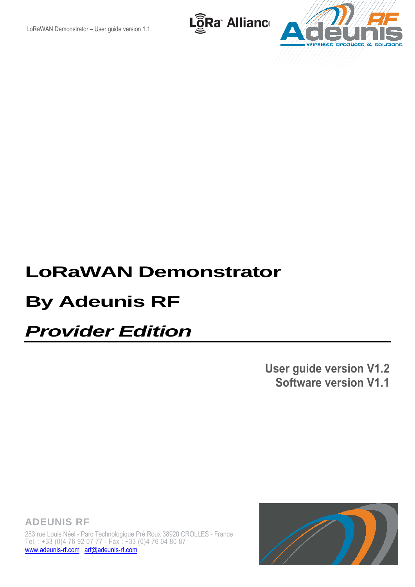LoRa Allianc



# **LoRaWAN Demonstrator**

# **By Adeunis RF**

# *Provider Edition*

**User guide version V1.2 Software version V1.1**

**ADEUNIS RF** 283 rue Louis Néel - Parc Technologique Pré Roux 38920 CROLLES - France Tel. : +33 (0)4 76 92 07 77 - Fax : +33 (0)4 76 04 80 87 [www.adeunis-rf.com](http://www.adeunis-rf.com/) [arf@adeunis-rf.com](mailto:arf@adeunis-rf.com)

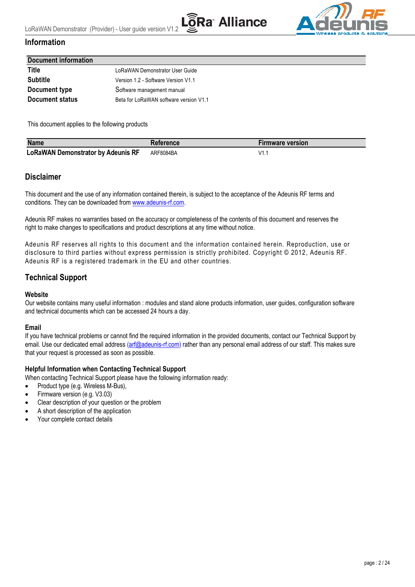



## **Information**

<span id="page-1-0"></span>

| <b>Document information</b> |                                        |  |  |
|-----------------------------|----------------------------------------|--|--|
| Title                       | LoRaWAN Demonstrator User Guide        |  |  |
| <b>Subtitle</b>             | Version 1.2 - Software Version V1.1    |  |  |
| Document type               | Software management manual             |  |  |
| <b>Document status</b>      | Beta for LoRaWAN software version V1.1 |  |  |

This document applies to the following products

| <b>Name</b>                               | <b>Reference</b> | <b>Firmware version</b> |
|-------------------------------------------|------------------|-------------------------|
| <b>LoRaWAN Demonstrator by Adeunis RF</b> | ARF8084BA        | 1/1                     |

#### <span id="page-1-1"></span>**Disclaimer**

This document and the use of any information contained therein, is subject to the acceptance of the Adeunis RF terms and conditions. They can be downloaded from [www.adeunis-rf.com.](http://www.adeunis-rf.com/)

Adeunis RF makes no warranties based on the accuracy or completeness of the contents of this document and reserves the right to make changes to specifications and product descriptions at any time without notice.

Adeunis RF reserves all rights to this document and the information contained herein. Reproduction, use or disclosure to third parties without express permission is strictly prohibited. Copyright © 2012, Adeunis RF. Adeunis RF is a registered trademark in the EU and other countries.

## <span id="page-1-2"></span>**Technical Support**

#### **Website**

Our website contains many useful information : modules and stand alone products information, user guides, configuration software and technical documents which can be accessed 24 hours a day.

#### **Email**

If you have technical problems or cannot find the required information in the provided documents, contact our Technical Support by email. Use our dedicated email address [\(arf@adeunis-rf.com\)](mailto:arf@adeunis-rf.com) rather than any personal email address of our staff. This makes sure that your request is processed as soon as possible.

#### **Helpful Information when Contacting Technical Support**

When contacting Technical Support please have the following information ready:

- Product type (e.g. Wireless M-Bus),
- Firmware version (e.g. V3.03)
- Clear description of your question or the problem
- A short description of the application
- Your complete contact details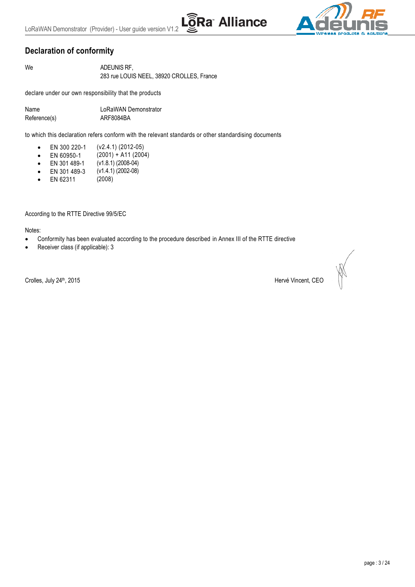# <span id="page-2-0"></span>**Declaration of conformity**

We **ADEUNIS RF,** 283 rue LOUIS NEEL, 38920 CROLLES, France

declare under our own responsibility that the products

Name LoRaWAN Demonstrator Reference(s) ARF8084BA

to which this declaration refers conform with the relevant standards or other standardising documents

Ra Alliance

- EN 300 220-1 (v2.4.1) (2012-05)
- EN 60950-1 (2001) + A11 (2004)
- EN 301 489-1 (v1.8.1) (2008-04)
- EN 301 489-3 (v1.4.1) (2002-08)
- EN 62311 (2008)

According to the RTTE Directive 99/5/EC

Notes:

- Conformity has been evaluated according to the procedure described in Annex III of the RTTE directive
- Receiver class (if applicable): 3

Crolles, July 24<sup>th</sup>, 2015 **Hervé Vincent, CEO**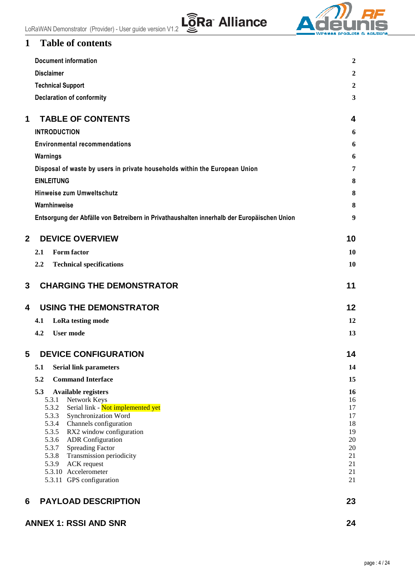

# <span id="page-3-0"></span>**1 Table of contents**

|   | <b>Document information</b>                                                                                                                                                                                                                                                                                                                                    | $\boldsymbol{2}$                                         |
|---|----------------------------------------------------------------------------------------------------------------------------------------------------------------------------------------------------------------------------------------------------------------------------------------------------------------------------------------------------------------|----------------------------------------------------------|
|   | <b>Disclaimer</b>                                                                                                                                                                                                                                                                                                                                              | $\boldsymbol{2}$                                         |
|   | <b>Technical Support</b>                                                                                                                                                                                                                                                                                                                                       | $\overline{2}$                                           |
|   | <b>Declaration of conformity</b>                                                                                                                                                                                                                                                                                                                               | 3                                                        |
| 1 | <b>TABLE OF CONTENTS</b>                                                                                                                                                                                                                                                                                                                                       | 4                                                        |
|   | <b>INTRODUCTION</b>                                                                                                                                                                                                                                                                                                                                            | 6                                                        |
|   | <b>Environmental recommendations</b>                                                                                                                                                                                                                                                                                                                           | 6                                                        |
|   | Warnings                                                                                                                                                                                                                                                                                                                                                       | 6                                                        |
|   | Disposal of waste by users in private households within the European Union                                                                                                                                                                                                                                                                                     | 7                                                        |
|   | <b>EINLEITUNG</b>                                                                                                                                                                                                                                                                                                                                              | 8                                                        |
|   | Hinweise zum Umweltschutz                                                                                                                                                                                                                                                                                                                                      | 8                                                        |
|   | Warnhinweise                                                                                                                                                                                                                                                                                                                                                   | 8                                                        |
|   | Entsorgung der Abfälle von Betreibern in Privathaushalten innerhalb der Europäischen Union                                                                                                                                                                                                                                                                     | $\boldsymbol{9}$                                         |
| 2 | <b>DEVICE OVERVIEW</b>                                                                                                                                                                                                                                                                                                                                         | 10                                                       |
|   | <b>Form factor</b><br>2.1                                                                                                                                                                                                                                                                                                                                      | 10                                                       |
|   | <b>Technical specifications</b><br>$2.2\,$                                                                                                                                                                                                                                                                                                                     | 10                                                       |
| 3 | <b>CHARGING THE DEMONSTRATOR</b>                                                                                                                                                                                                                                                                                                                               | 11                                                       |
| 4 | <b>USING THE DEMONSTRATOR</b>                                                                                                                                                                                                                                                                                                                                  | $12 \,$                                                  |
|   | LoRa testing mode<br>4.1                                                                                                                                                                                                                                                                                                                                       | 12                                                       |
|   | 4.2<br><b>User mode</b>                                                                                                                                                                                                                                                                                                                                        | 13                                                       |
| 5 | <b>DEVICE CONFIGURATION</b>                                                                                                                                                                                                                                                                                                                                    | 14                                                       |
|   | 5.1 Serial link parameters                                                                                                                                                                                                                                                                                                                                     | 14                                                       |
|   | 5.2<br><b>Command Interface</b>                                                                                                                                                                                                                                                                                                                                | 15                                                       |
|   | 5.3<br><b>Available registers</b><br>5.3.1<br>Network Keys<br>5.3.2<br>Serial link - Not implemented yet<br>5.3.3<br>Synchronization Word<br>5.3.4<br>Channels configuration<br>5.3.5<br>RX2 window configuration<br>5.3.6<br><b>ADR</b> Configuration<br>5.3.7<br><b>Spreading Factor</b><br>Transmission periodicity<br>5.3.8<br>5.3.9<br><b>ACK</b> request | 16<br>16<br>17<br>17<br>18<br>19<br>20<br>20<br>21<br>21 |
|   | 5.3.10 Accelerometer<br>5.3.11 GPS configuration                                                                                                                                                                                                                                                                                                               | 21<br>21                                                 |
| 6 | <b>PAYLOAD DESCRIPTION</b>                                                                                                                                                                                                                                                                                                                                     | 23                                                       |
|   | <b>ANNEX 1: RSSI AND SNR</b>                                                                                                                                                                                                                                                                                                                                   | 24                                                       |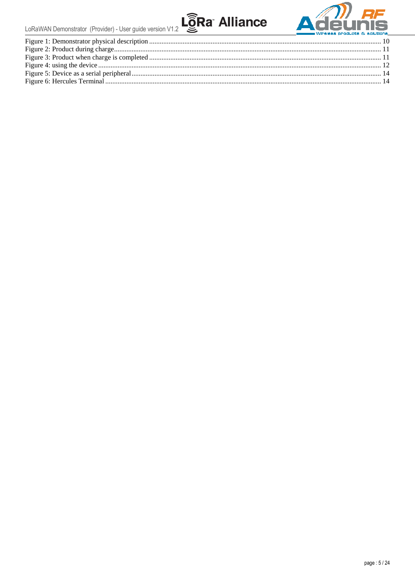



| <u> a chang and the community of the community of the community of the community of the community of the community of the community of the community of the community of the community of the community of the community of the </u> |  |
|--------------------------------------------------------------------------------------------------------------------------------------------------------------------------------------------------------------------------------------|--|
|                                                                                                                                                                                                                                      |  |
|                                                                                                                                                                                                                                      |  |
|                                                                                                                                                                                                                                      |  |
|                                                                                                                                                                                                                                      |  |
|                                                                                                                                                                                                                                      |  |
|                                                                                                                                                                                                                                      |  |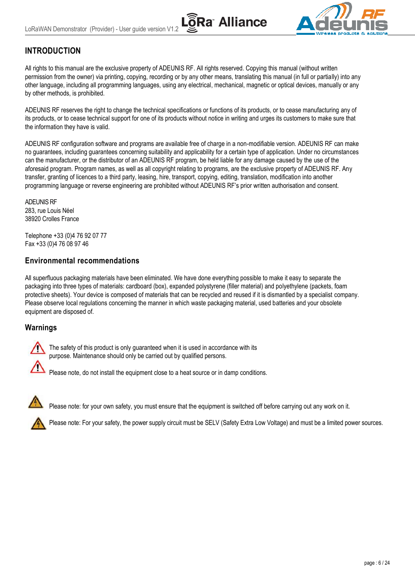

# <span id="page-5-0"></span>**INTRODUCTION**

All rights to this manual are the exclusive property of ADEUNIS RF. All rights reserved. Copying this manual (without written permission from the owner) via printing, copying, recording or by any other means, translating this manual (in full or partially) into any other language, including all programming languages, using any electrical, mechanical, magnetic or optical devices, manually or any by other methods, is prohibited.

ADEUNIS RF reserves the right to change the technical specifications or functions of its products, or to cease manufacturing any of its products, or to cease technical support for one of its products without notice in writing and urges its customers to make sure that the information they have is valid.

ADEUNIS RF configuration software and programs are available free of charge in a non-modifiable version. ADEUNIS RF can make no guarantees, including guarantees concerning suitability and applicability for a certain type of application. Under no circumstances can the manufacturer, or the distributor of an ADEUNIS RF program, be held liable for any damage caused by the use of the aforesaid program. Program names, as well as all copyright relating to programs, are the exclusive property of ADEUNIS RF. Any transfer, granting of licences to a third party, leasing, hire, transport, copying, editing, translation, modification into another programming language or reverse engineering are prohibited without ADEUNIS RF's prior written authorisation and consent.

ADEUNIS RF 283, rue Louis Néel 38920 Crolles France

Telephone +33 (0)4 76 92 07 77 Fax +33 (0)4 76 08 97 46

# <span id="page-5-1"></span>**Environmental recommendations**

All superfluous packaging materials have been eliminated. We have done everything possible to make it easy to separate the packaging into three types of materials: cardboard (box), expanded polystyrene (filler material) and polyethylene (packets, foam protective sheets). Your device is composed of materials that can be recycled and reused if it is dismantled by a specialist company. Please observe local regulations concerning the manner in which waste packaging material, used batteries and your obsolete equipment are disposed of.

# <span id="page-5-2"></span>**Warnings**

The safety of this product is only guaranteed when it is used in accordance with its purpose. Maintenance should only be carried out by qualified persons.

Please note, do not install the equipment close to a heat source or in damp conditions.



Please note: for your own safety, you must ensure that the equipment is switched off before carrying out any work on it.

Please note: For your safety, the power supply circuit must be SELV (Safety Extra Low Voltage) and must be a limited power sources.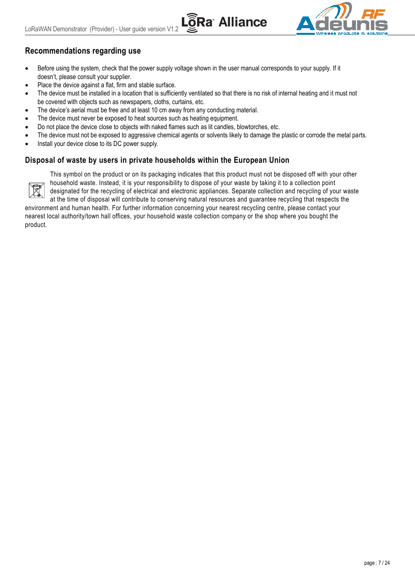

# **Recommendations regarding use**

- Before using the system, check that the power supply voltage shown in the user manual corresponds to your supply. If it doesn't, please consult your supplier.
- Place the device against a flat, firm and stable surface.
- The device must be installed in a location that is sufficiently ventilated so that there is no risk of internal heating and it must not be covered with objects such as newspapers, cloths, curtains, etc.

**Ra Alliance** 

- The device's aerial must be free and at least 10 cm away from any conducting material.
- The device must never be exposed to heat sources such as heating equipment.
- Do not place the device close to objects with naked flames such as lit candles, blowtorches, etc.
- The device must not be exposed to aggressive chemical agents or solvents likely to damage the plastic or corrode the metal parts.
- Install your device close to its DC power supply.

### <span id="page-6-0"></span>**Disposal of waste by users in private households within the European Union**



This symbol on the product or on its packaging indicates that this product must not be disposed off with your other household waste. Instead, it is your responsibility to dispose of your waste by taking it to a collection point designated for the recycling of electrical and electronic appliances. Separate collection and recycling of your waste

at the time of disposal will contribute to conserving natural resources and guarantee recycling that respects the environment and human health. For further information concerning your nearest recycling centre, please contact your nearest local authority/town hall offices, your household waste collection company or the shop where you bought the product.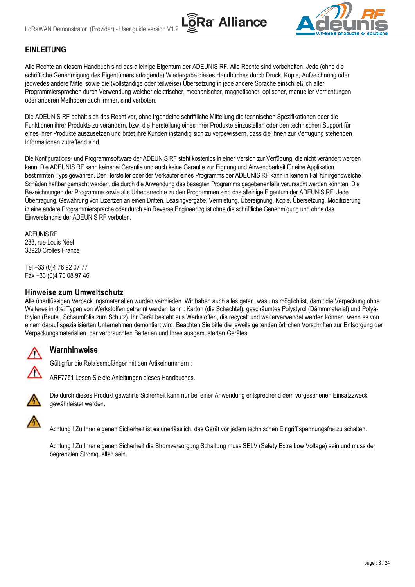



# <span id="page-7-0"></span>**EINLEITUNG**

Alle Rechte an diesem Handbuch sind das alleinige Eigentum der ADEUNIS RF. Alle Rechte sind vorbehalten. Jede (ohne die schriftliche Genehmigung des Eigentümers erfolgende) Wiedergabe dieses Handbuches durch Druck, Kopie, Aufzeichnung oder jedwedes andere Mittel sowie die (vollständige oder teilweise) Übersetzung in jede andere Sprache einschließlich aller Programmiersprachen durch Verwendung welcher elektrischer, mechanischer, magnetischer, optischer, manueller Vorrichtungen oder anderen Methoden auch immer, sind verboten.

Die ADEUNIS RF behält sich das Recht vor, ohne irgendeine schriftliche Mitteilung die technischen Spezifikationen oder die Funktionen ihrer Produkte zu verändern, bzw. die Herstellung eines ihrer Produkte einzustellen oder den technischen Support für eines ihrer Produkte auszusetzen und bittet ihre Kunden inständig sich zu vergewissern, dass die ihnen zur Verfügung stehenden Informationen zutreffend sind.

Die Konfigurations- und Programmsoftware der ADEUNIS RF steht kostenlos in einer Version zur Verfügung, die nicht verändert werden kann. Die ADEUNIS RF kann keinerlei Garantie und auch keine Garantie zur Eignung und Anwendbarkeit für eine Applikation bestimmten Typs gewähren. Der Hersteller oder der Verkäufer eines Programms der ADEUNIS RF kann in keinem Fall für irgendwelche Schäden haftbar gemacht werden, die durch die Anwendung des besagten Programms gegebenenfalls verursacht werden könnten. Die Bezeichnungen der Programme sowie alle Urheberrechte zu den Programmen sind das alleinige Eigentum der ADEUNIS RF. Jede Übertragung, Gewährung von Lizenzen an einen Dritten, Leasingvergabe, Vermietung, Übereignung, Kopie, Übersetzung, Modifizierung in eine andere Programmiersprache oder durch ein Reverse Engineering ist ohne die schriftliche Genehmigung und ohne das Einverständnis der ADEUNIS RF verboten.

ADEUNIS RF 283, rue Louis Néel 38920 Crolles France

Tel +33 (0)4 76 92 07 77 Fax +33 (0)4 76 08 97 46

#### <span id="page-7-1"></span>**Hinweise zum Umweltschutz**

Alle überflüssigen Verpackungsmaterialien wurden vermieden. Wir haben auch alles getan, was uns möglich ist, damit die Verpackung ohne Weiteres in drei Typen von Werkstoffen getrennt werden kann : Karton (die Schachtel), geschäumtes Polystyrol (Dämmmaterial) und Polyäthylen (Beutel, Schaumfolie zum Schutz). Ihr Gerät besteht aus Werkstoffen, die recycelt und weiterverwendet werden können, wenn es von einem darauf spezialisierten Unternehmen demontiert wird. Beachten Sie bitte die jeweils geltenden örtlichen Vorschriften zur Entsorgung der Verpackungsmaterialien, der verbrauchten Batterien und Ihres ausgemusterten Gerätes.

### <span id="page-7-2"></span>**Warnhinweise**

Gültig für die Relaisempfänger mit den Artikelnummern :





Die durch dieses Produkt gewährte Sicherheit kann nur bei einer Anwendung entsprechend dem vorgesehenen Einsatzzweck gewährleistet werden.

Achtung ! Zu Ihrer eigenen Sicherheit ist es unerlässlich, das Gerät vor jedem technischen Eingriff spannungsfrei zu schalten.

Achtung ! Zu Ihrer eigenen Sicherheit die Stromversorgung Schaltung muss SELV (Safety Extra Low Voltage) sein und muss der begrenzten Stromquellen sein.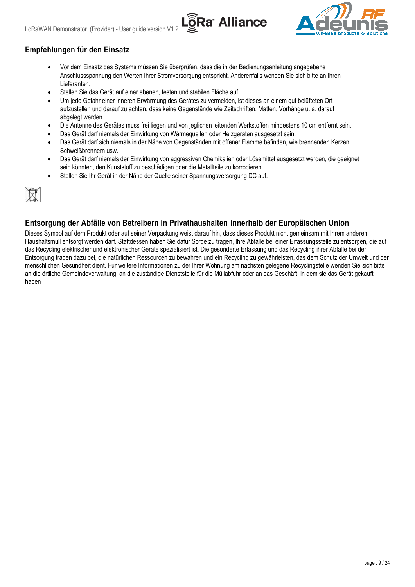

# **Empfehlungen für den Einsatz**

 Vor dem Einsatz des Systems müssen Sie überprüfen, dass die in der Bedienungsanleitung angegebene Anschlussspannung den Werten Ihrer Stromversorgung entspricht. Anderenfalls wenden Sie sich bitte an Ihren Lieferanten.

**Ra** Alliance

- Stellen Sie das Gerät auf einer ebenen, festen und stabilen Fläche auf.
- Um jede Gefahr einer inneren Erwärmung des Gerätes zu vermeiden, ist dieses an einem gut belüfteten Ort aufzustellen und darauf zu achten, dass keine Gegenstände wie Zeitschriften, Matten, Vorhänge u. a. darauf abgelegt werden.
- Die Antenne des Gerätes muss frei liegen und von jeglichen leitenden Werkstoffen mindestens 10 cm entfernt sein.
- Das Gerät darf niemals der Einwirkung von Wärmequellen oder Heizgeräten ausgesetzt sein.
- Das Gerät darf sich niemals in der Nähe von Gegenständen mit offener Flamme befinden, wie brennenden Kerzen, Schweißbrennern usw.
- Das Gerät darf niemals der Einwirkung von aggressiven Chemikalien oder Lösemittel ausgesetzt werden, die geeignet sein könnten, den Kunststoff zu beschädigen oder die Metallteile zu korrodieren.
- Stellen Sie Ihr Gerät in der Nähe der Quelle seiner Spannungsversorgung DC auf.



# <span id="page-8-0"></span>**Entsorgung der Abfälle von Betreibern in Privathaushalten innerhalb der Europäischen Union**

Dieses Symbol auf dem Produkt oder auf seiner Verpackung weist darauf hin, dass dieses Produkt nicht gemeinsam mit Ihrem anderen Haushaltsmüll entsorgt werden darf. Stattdessen haben Sie dafür Sorge zu tragen, Ihre Abfälle bei einer Erfassungsstelle zu entsorgen, die auf das Recycling elektrischer und elektronischer Geräte spezialisiert ist. Die gesonderte Erfassung und das Recycling ihrer Abfälle bei der Entsorgung tragen dazu bei, die natürlichen Ressourcen zu bewahren und ein Recycling zu gewährleisten, das dem Schutz der Umwelt und der menschlichen Gesundheit dient. Für weitere Informationen zu der Ihrer Wohnung am nächsten gelegene Recyclingstelle wenden Sie sich bitte an die örtliche Gemeindeverwaltung, an die zuständige Dienststelle für die Müllabfuhr oder an das Geschäft, in dem sie das Gerät gekauft haben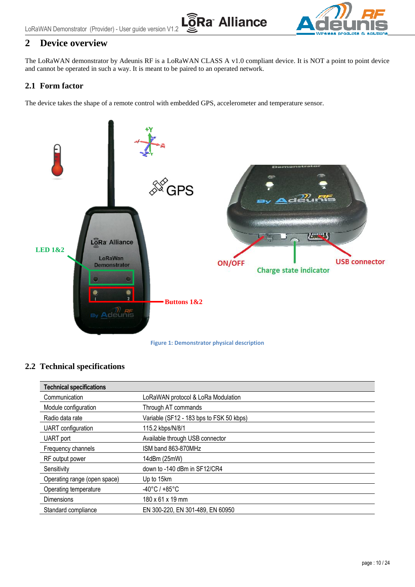



# <span id="page-9-0"></span>**2 Device overview**

The LoRaWAN demonstrator by Adeunis RF is a LoRaWAN CLASS A v1.0 compliant device. It is NOT a point to point device and cannot be operated in such a way. It is meant to be paired to an operated network.

### <span id="page-9-1"></span>**2.1 Form factor**

The device takes the shape of a remote control with embedded GPS, accelerometer and temperature sensor.



#### <span id="page-9-3"></span><span id="page-9-2"></span>**2.2 Technical specifications**

| <b>Technical specifications</b> |                                          |
|---------------------------------|------------------------------------------|
| Communication                   | LoRaWAN protocol & LoRa Modulation       |
| Module configuration            | Through AT commands                      |
| Radio data rate                 | Variable (SF12 - 183 bps to FSK 50 kbps) |
| UART configuration              | 115.2 kbps/N/8/1                         |
| UART port                       | Available through USB connector          |
| Frequency channels              | ISM band 863-870MHz                      |
| RF output power                 | 14dBm (25mW)                             |
| Sensitivity                     | down to -140 dBm in SF12/CR4             |
| Operating range (open space)    | Up to 15km                               |
| Operating temperature           | $-40^{\circ}$ C / $+85^{\circ}$ C        |
| <b>Dimensions</b>               | 180 x 61 x 19 mm                         |
| Standard compliance             | EN 300-220, EN 301-489, EN 60950         |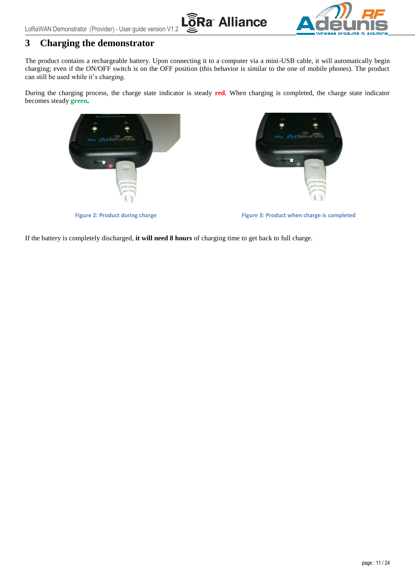LoRaWAN Demonstrator (Provider) - User guide version V1.2





# <span id="page-10-0"></span>**3 Charging the demonstrator**

The product contains a rechargeable battery. Upon connecting it to a computer via a mini-USB cable, it will automatically begin charging; even if the ON/OFF switch is on the OFF position (this behavior is similar to the one of mobile phones). The product can still be used while it's charging.

During the charging process, the charge state indicator is steady **red**. When charging is completed, the charge state indicator becomes steady **green.**



<span id="page-10-2"></span>

**Figure 2: Product during charge Figure 3: Product when charge is completed**

<span id="page-10-1"></span>If the battery is completely discharged, **it will need 8 hours** of charging time to get back to full charge.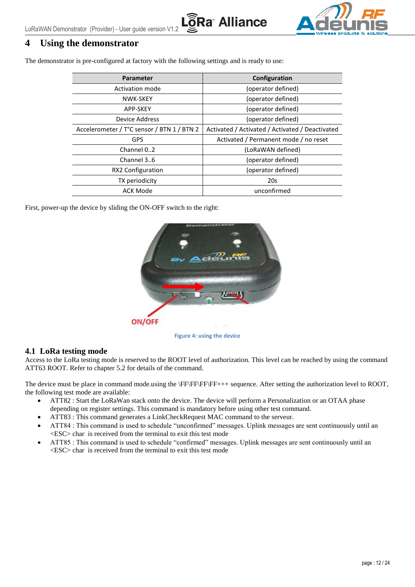



# <span id="page-11-0"></span>**4 Using the demonstrator**

The demonstrator is pre-configured at factory with the following settings and is ready to use:

| Parameter                                  | Configuration                                   |  |
|--------------------------------------------|-------------------------------------------------|--|
| Activation mode                            | (operator defined)                              |  |
| NWK-SKEY                                   | (operator defined)                              |  |
| (operator defined)<br>APP-SKEY             |                                                 |  |
| Device Address                             | (operator defined)                              |  |
| Accelerometer / T°C sensor / BTN 1 / BTN 2 | Activated / Activated / Activated / Deactivated |  |
| <b>GPS</b>                                 | Activated / Permanent mode / no reset           |  |
| Channel 02                                 | (LoRaWAN defined)                               |  |
| Channel 36                                 | (operator defined)                              |  |
| RX2 Configuration                          | (operator defined)                              |  |
| TX periodicity                             | 20s                                             |  |
| ACK Mode                                   | unconfirmed                                     |  |

First, power-up the device by sliding the ON-OFF switch to the right:



**Figure 4: using the device**

#### <span id="page-11-2"></span><span id="page-11-1"></span>**4.1 LoRa testing mode**

Access to the LoRa testing mode is reserved to the ROOT level of authorization. This level can be reached by using the command ATT63 ROOT. Refer to chapter [5.2](#page-14-0) for details of the command.

The device must be place in command mode.using the \FF\FF\FF\FF+++ sequence. After setting the authorization level to ROOT, the following test mode are available:

- ATT82 : Start the LoRaWan stack onto the device. The device will perform a Personalization or an OTAA phase depending on register settings. This command is mandatory before using other test command.
- ATT83 : This command generates a LinkCheckRequest MAC command to the serveur.
- ATT84 : This command is used to schedule "unconfirmed" messages. Uplink messages are sent continuously until an <ESC> char is received from the terminal to exit this test mode
- ATT85 : This command is used to schedule "confirmed" messages. Uplink messages are sent continuously until an <ESC> char is received from the terminal to exit this test mode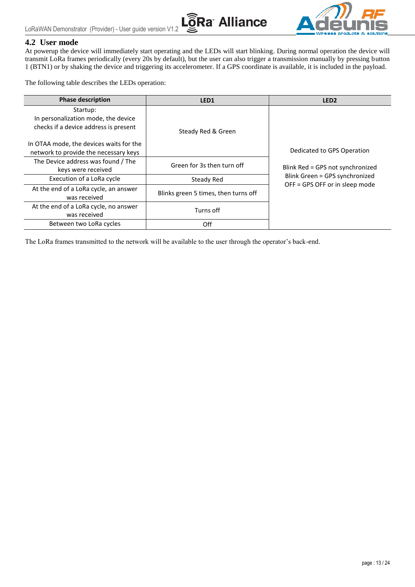



#### <span id="page-12-0"></span>**4.2 User mode**

At powerup the device will immediately start operating and the LEDs will start blinking. During normal operation the device will transmit LoRa frames periodically (every 20s by default), but the user can also trigger a transmission manually by pressing button 1 (BTN1) or by shaking the device and triggering its accelerometer. If a GPS coordinate is available, it is included in the payload.

The following table describes the LEDs operation:

| <b>Phase description</b>                                                                 | LED <sub>1</sub>                     | LED <sub>2</sub>                                                 |
|------------------------------------------------------------------------------------------|--------------------------------------|------------------------------------------------------------------|
| Startup:<br>In personalization mode, the device<br>checks if a device address is present | Steady Red & Green                   |                                                                  |
| In OTAA mode, the devices waits for the<br>network to provide the necessary keys         |                                      | Dedicated to GPS Operation                                       |
| The Device address was found / The<br>keys were received                                 | Green for 3s then turn off           | Blink Red = GPS not synchronized                                 |
| Execution of a LoRa cycle                                                                | Steady Red                           | Blink Green = GPS synchronized<br>OFF = GPS OFF or in sleep mode |
| At the end of a LoRa cycle, an answer<br>was received                                    | Blinks green 5 times, then turns off |                                                                  |
| At the end of a LoRa cycle, no answer<br>was received                                    | Turns off                            |                                                                  |
| Between two LoRa cycles                                                                  | Off                                  |                                                                  |

The LoRa frames transmitted to the network will be available to the user through the operator's back-end.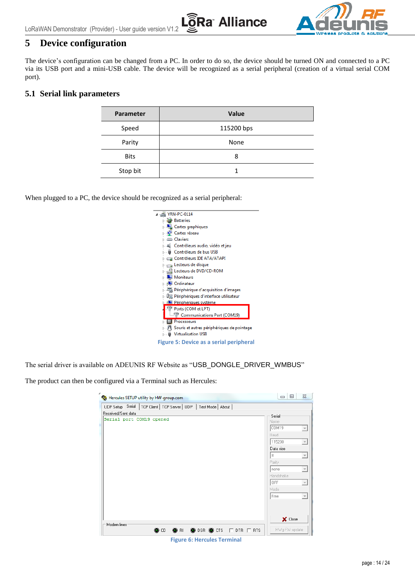

# <span id="page-13-0"></span>**5 Device configuration**

The device's configuration can be changed from a PC. In order to do so, the device should be turned ON and connected to a PC via its USB port and a mini-USB cable. The device will be recognized as a serial peripheral (creation of a virtual serial COM port).

la Alliance

#### <span id="page-13-1"></span>**5.1 Serial link parameters**

| Parameter   | <b>Value</b> |  |
|-------------|--------------|--|
| Speed       | 115200 bps   |  |
| Parity      | None         |  |
| <b>Bits</b> | 8            |  |
| Stop bit    |              |  |

When plugged to a PC, the device should be recognized as a serial peripheral:

| $\frac{1}{2}$ YRN-PC-0114                                            |
|----------------------------------------------------------------------|
| <b>Batteries</b>                                                     |
| Cartes graphiques                                                    |
| Cartes réseau                                                        |
| Claviers                                                             |
| Contrôleurs audio, vidéo et jeu                                      |
| - U Contrôleurs de bus USB                                           |
| Contrôleurs IDE ATA/ATAPI                                            |
| ⊳ <sub>n</sub> es Lecteurs de disque                                 |
| Lecteurs de DVD/CD-ROM                                               |
| <b>Moniteurs</b>                                                     |
| <b>I</b> Ordinateur                                                  |
| Périphérique d'acquisition d'images                                  |
| $\triangleright$ $\frac{1}{2}$ Périphériques d'interface utilisateur |
| <b>I</b> Périphériques système                                       |
| 『『Ports (COM et LPT)                                                 |
| Communications Port (COM19)                                          |
| <b>Processeurs</b>                                                   |
| ▷ · / Souris et autres périphériques de pointage                     |
| <b>Virtualisation USB</b>                                            |
| Figure 5: Device as a serial peripheral                              |

<span id="page-13-2"></span>The serial driver is available on ADEUNIS RF Website as "USB\_DONGLE\_DRIVER\_WMBUS"

The product can then be configured via a Terminal such as Hercules:

| Hercules SETUP utility by HW-group.com                                             | $\Sigma$<br>▣<br>$\Box$                                                                                                                                                                                                                             |
|------------------------------------------------------------------------------------|-----------------------------------------------------------------------------------------------------------------------------------------------------------------------------------------------------------------------------------------------------|
| UDP Setup Serial<br>  TCP Client   TCP Server   UDP   Test Mode   About            |                                                                                                                                                                                                                                                     |
| Received/Sent data                                                                 | Serial                                                                                                                                                                                                                                              |
| Serial port COM19 opened                                                           | Name<br>COM19<br>$\mathbf{w}$<br>Baud<br>115200<br>$\mathcal{L}_{\mathcal{F}}$<br>Data size<br>8<br>$\mathcal{L}_{\mathcal{F}}$<br>Parity<br>$\overline{\nabla}$<br>none<br>Handshake<br>OFF<br>$\overline{\nabla}$<br>Mode<br>Free<br>$\mathbf{v}$ |
| Modem lines<br><b>O</b> RI <b>O</b> DSR <b>O</b> CTS  □ DTR  □ RTS<br>$\bullet$ cd | X Close<br>HWg FW update                                                                                                                                                                                                                            |

<span id="page-13-3"></span>**Figure 6: Hercules Terminal**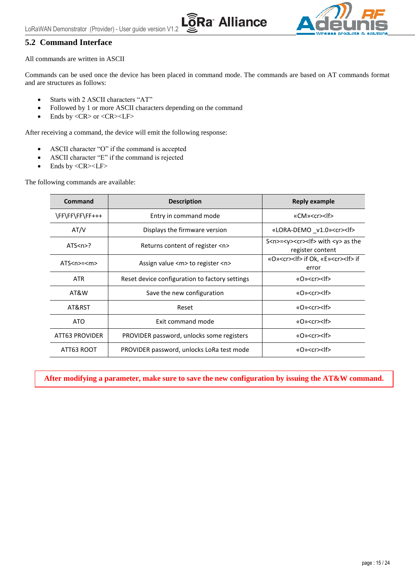**Ra Alliance** 



#### <span id="page-14-0"></span>**5.2 Command Interface**

All commands are written in ASCII

Commands can be used once the device has been placed in command mode. The commands are based on AT commands format and are structures as follows:

- Starts with 2 ASCII characters "AT"
- Followed by 1 or more ASCII characters depending on the command
- $\bullet$  Ends by <CR> or <CR><LF>

After receiving a command, the device will emit the following response:

- ASCII character "O" if the command is accepted
- ASCII character "E" if the command is rejected
- $\bullet$  Ends by <CR><LF>

The following commands are available:

| Command                                                 | <b>Description</b>                             | Reply example                                                                    |
|---------------------------------------------------------|------------------------------------------------|----------------------------------------------------------------------------------|
| \FF\FF\FF\FF+++                                         | Entry in command mode                          | «CM» <cr><lf></lf></cr>                                                          |
| AT/V                                                    | Displays the firmware version                  | «LORA-DEMO _v1.0» <cr><lf></lf></cr>                                             |
| ATS < n > ?                                             | Returns content of register <n></n>            | S <n>=<y><cr>&gt;<lf> with <y> as the<br/>register content</y></lf></cr></y></n> |
| $ATSnn=$                                                | Assign value <m> to register <n></n></m>       | «O» <cr><lf> if Ok, «E»<cr><lf> if<br/>error</lf></cr></lf></cr>                 |
| <b>ATR</b>                                              | Reset device configuration to factory settings | «O» <cr><lf></lf></cr>                                                           |
| AT&W                                                    | Save the new configuration                     | «O» <cr><lf></lf></cr>                                                           |
| AT&RST                                                  | Reset                                          | «O» <cr><lf></lf></cr>                                                           |
| ATO                                                     | Exit command mode                              | «O» <cr><lf></lf></cr>                                                           |
| ATT63 PROVIDER                                          | PROVIDER password, unlocks some registers      | «O» <cr><lf></lf></cr>                                                           |
| ATT63 ROOT<br>PROVIDER password, unlocks LoRa test mode |                                                | «O» <cr><lf></lf></cr>                                                           |

**After modifying a parameter, make sure to save the new configuration by issuing the AT&W command.**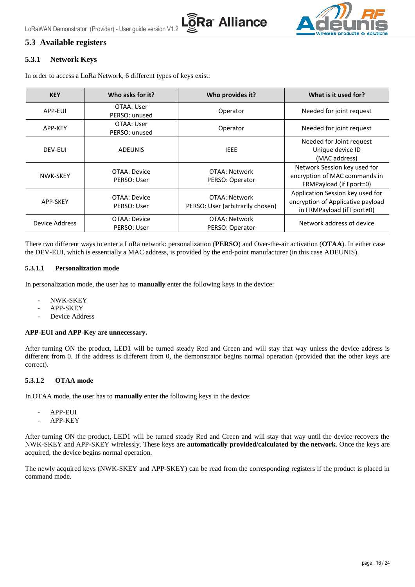

### <span id="page-15-0"></span>**5.3 Available registers**

#### <span id="page-15-1"></span>**5.3.1 Network Keys**

In order to access a LoRa Network, 6 different types of keys exist:

| <b>KEY</b>     | Who asks for it?            | Who provides it?                                  | What is it used for?                                                                                |
|----------------|-----------------------------|---------------------------------------------------|-----------------------------------------------------------------------------------------------------|
| APP-EUI        | OTAA: User<br>PERSO: unused | Operator                                          | Needed for joint request                                                                            |
| APP-KEY        | OTAA: User<br>PERSO: unused | Operator                                          | Needed for joint request                                                                            |
| DEV-EUI        | <b>ADEUNIS</b>              | <b>IEEE</b>                                       | Needed for Joint request<br>Unique device ID<br>(MAC address)                                       |
| NWK-SKEY       | OTAA: Device<br>PERSO: User | OTAA: Network<br>PERSO: Operator                  | Network Session key used for<br>encryption of MAC commands in<br>FRMPayload (if Fport=0)            |
| APP-SKEY       | OTAA: Device<br>PERSO: User | OTAA: Network<br>PERSO: User (arbitrarily chosen) | Application Session key used for<br>encryption of Applicative payload<br>in FRMPayload (if Fport≠0) |
| Device Address | OTAA: Device<br>PERSO: User | OTAA: Network<br>PERSO: Operator                  | Network address of device                                                                           |

There two different ways to enter a LoRa network: personalization (**PERSO**) and Over-the-air activation (**OTAA**). In either case the DEV-EUI, which is essentially a MAC address, is provided by the end-point manufacturer (in this case ADEUNIS).

#### **5.3.1.1 Personalization mode**

In personalization mode, the user has to **manually** enter the following keys in the device:

- NWK-SKEY
- APP-SKEY
- Device Address

#### **APP-EUI and APP-Key are unnecessary.**

After turning ON the product, LED1 will be turned steady Red and Green and will stay that way unless the device address is different from 0. If the address is different from 0, the demonstrator begins normal operation (provided that the other keys are correct).

#### **5.3.1.2 OTAA mode**

In OTAA mode, the user has to **manually** enter the following keys in the device:

- APP-EUI
- APP-KEY

After turning ON the product, LED1 will be turned steady Red and Green and will stay that way until the device recovers the NWK-SKEY and APP-SKEY wirelessly. These keys are **automatically provided/calculated by the network**. Once the keys are acquired, the device begins normal operation.

The newly acquired keys (NWK-SKEY and APP-SKEY) can be read from the corresponding registers if the product is placed in command mode.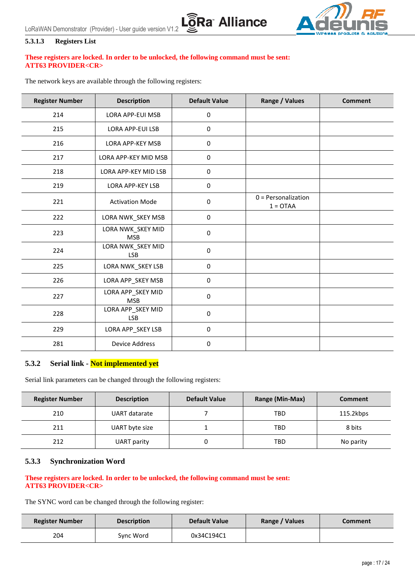



#### **5.3.1.3 Registers List**

#### **These registers are locked. In order to be unlocked, the following command must be sent: ATT63 PROVIDER<CR>**

The network keys are available through the following registers:

| <b>Register Number</b> | <b>Description</b>              | <b>Default Value</b> | Range / Values                      | <b>Comment</b> |
|------------------------|---------------------------------|----------------------|-------------------------------------|----------------|
| 214                    | LORA APP-EUI MSB                | $\pmb{0}$            |                                     |                |
| 215                    | <b>LORA APP-EUI LSB</b>         | $\mathbf 0$          |                                     |                |
| 216                    | LORA APP-KEY MSB                | 0                    |                                     |                |
| 217                    | LORA APP-KEY MID MSB            | $\pmb{0}$            |                                     |                |
| 218                    | LORA APP-KEY MID LSB            | $\pmb{0}$            |                                     |                |
| 219                    | LORA APP-KEY LSB                | $\pmb{0}$            |                                     |                |
| 221                    | <b>Activation Mode</b>          | $\pmb{0}$            | $0 =$ Personalization<br>$1 = OTAA$ |                |
| 222                    | LORA NWK_SKEY MSB               | $\pmb{0}$            |                                     |                |
| 223                    | LORA NWK_SKEY MID<br><b>MSB</b> | $\mathbf 0$          |                                     |                |
| 224                    | LORA NWK_SKEY MID<br><b>LSB</b> | $\pmb{0}$            |                                     |                |
| 225                    | LORA NWK_SKEY LSB               | 0                    |                                     |                |
| 226                    | LORA APP_SKEY MSB               | 0                    |                                     |                |
| 227                    | LORA APP_SKEY MID<br><b>MSB</b> | 0                    |                                     |                |
| 228                    | LORA APP_SKEY MID<br><b>LSB</b> | $\pmb{0}$            |                                     |                |
| 229                    | LORA APP_SKEY LSB               | 0                    |                                     |                |
| 281                    | <b>Device Address</b>           | $\pmb{0}$            |                                     |                |

#### <span id="page-16-0"></span>**5.3.2 Serial link - Not implemented yet**

Serial link parameters can be changed through the following registers:

| <b>Register Number</b> | <b>Description</b> | <b>Default Value</b> | Range (Min-Max) | <b>Comment</b> |
|------------------------|--------------------|----------------------|-----------------|----------------|
| 210                    | UART datarate      |                      | TBD             | 115.2kbps      |
| 211                    | UART byte size     |                      | TBD             | 8 bits         |
| 212                    | UART parity        |                      | TBD             | No parity      |

#### <span id="page-16-1"></span>**5.3.3 Synchronization Word**

#### **These registers are locked. In order to be unlocked, the following command must be sent: ATT63 PROVIDER<CR>**

The SYNC word can be changed through the following register:

| <b>Register Number</b> | <b>Description</b> | <b>Default Value</b> | Range / Values | Comment |
|------------------------|--------------------|----------------------|----------------|---------|
| 204                    | Svnc Word          | 0x34C194C1           |                |         |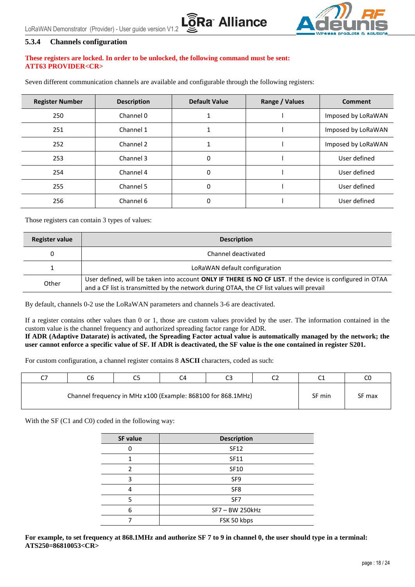

#### <span id="page-17-0"></span>**5.3.4 Channels configuration**

#### **These registers are locked. In order to be unlocked, the following command must be sent: ATT63 PROVIDER<CR>**

Seven different communication channels are available and configurable through the following registers:

| <b>Register Number</b> | <b>Description</b> | <b>Default Value</b> | Range / Values | <b>Comment</b>     |
|------------------------|--------------------|----------------------|----------------|--------------------|
| 250                    | Channel 0          |                      |                | Imposed by LoRaWAN |
| 251                    | Channel 1          |                      |                | Imposed by LoRaWAN |
| 252                    | Channel 2          |                      |                | Imposed by LoRaWAN |
| 253                    | Channel 3          | 0                    |                | User defined       |
| 254                    | Channel 4          | 0                    |                | User defined       |
| 255                    | Channel 5          | 0                    |                | User defined       |
| 256                    | Channel 6          | 0                    |                | User defined       |

**a Alliance** 

Those registers can contain 3 types of values:

| <b>Register value</b> | <b>Description</b>                                                                                                                                                                                    |
|-----------------------|-------------------------------------------------------------------------------------------------------------------------------------------------------------------------------------------------------|
| 0                     | Channel deactivated                                                                                                                                                                                   |
|                       | LoRaWAN default configuration                                                                                                                                                                         |
| Other                 | User defined, will be taken into account ONLY IF THERE IS NO CF LIST. If the device is configured in OTAA<br>and a CF list is transmitted by the network during OTAA, the CF list values will prevail |

By default, channels 0-2 use the LoRaWAN parameters and channels 3-6 are deactivated.

If a register contains other values than 0 or 1, those are custom values provided by the user. The information contained in the custom value is the channel frequency and authorized spreading factor range for ADR.

**If ADR (Adaptive Datarate) is activated,** t**he Spreading Factor actual value is automatically managed by the network; the user cannot enforce a specific value of SF. If ADR is deactivated, the SF value is the one contained in register S201.**

For custom configuration, a channel register contains 8 **ASCII** characters, coded as such:

| r¬ |                                                              | CJ | C4 | ີ | $\sim$ | ີ      | C0     |
|----|--------------------------------------------------------------|----|----|---|--------|--------|--------|
|    | Channel frequency in MHz x100 (Example: 868100 for 868.1MHz) |    |    |   |        | SF min | SF max |

With the SF (C1 and C0) coded in the following way:

| SF value | <b>Description</b> |
|----------|--------------------|
|          | <b>SF12</b>        |
|          | SF11               |
|          | SF10               |
| วุ       | SF <sub>9</sub>    |
|          | SF <sub>8</sub>    |
|          | SF7                |
| 6        | SF7-BW 250kHz      |
|          | FSK 50 kbps        |

**For example, to set frequency at 868.1MHz and authorize SF 7 to 9 in channel 0, the user should type in a terminal: ATS250=86810053<CR>**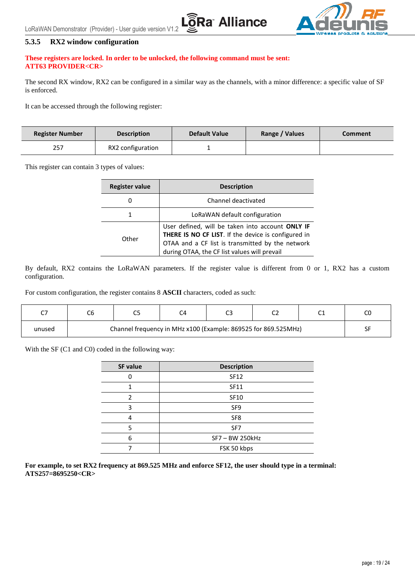

#### <span id="page-18-0"></span>**5.3.5 RX2 window configuration**

#### **These registers are locked. In order to be unlocked, the following command must be sent: ATT63 PROVIDER<CR>**

The second RX window, RX2 can be configured in a similar way as the channels, with a minor difference: a specific value of SF is enforced.

**Ra Alliance** 

It can be accessed through the following register:

| <b>Register Number</b> | <b>Description</b> | <b>Default Value</b> | Range / Values | Comment |
|------------------------|--------------------|----------------------|----------------|---------|
| 257                    | RX2 configuration  |                      |                |         |

This register can contain 3 types of values:

| <b>Register value</b> | <b>Description</b>                                                                                                                                                                                          |
|-----------------------|-------------------------------------------------------------------------------------------------------------------------------------------------------------------------------------------------------------|
| U                     | Channel deactivated                                                                                                                                                                                         |
|                       | LoRaWAN default configuration                                                                                                                                                                               |
| Other                 | User defined, will be taken into account ONLY IF<br>THERE IS NO CF LIST. If the device is configured in<br>OTAA and a CF list is transmitted by the network<br>during OTAA, the CF list values will prevail |

By default, RX2 contains the LoRaWAN parameters. If the register value is different from 0 or 1, RX2 has a custom configuration.

For custom configuration, the register contains 8 **ASCII** characters, coded as such:

| ~-     |                                                                | -- |  |  | ~~<br>ີ |  |  |
|--------|----------------------------------------------------------------|----|--|--|---------|--|--|
| unused | Channel frequency in MHz x100 (Example: 869525 for 869.525MHz) |    |  |  |         |  |  |

With the SF (C1 and C0) coded in the following way:

| SF value | <b>Description</b> |
|----------|--------------------|
|          | <b>SF12</b>        |
|          | <b>SF11</b>        |
| 2        | <b>SF10</b>        |
| ੨        | SF9                |
|          | SF <sub>8</sub>    |
| ς        | SF7                |
| 6        | SF7-BW 250kHz      |
|          | FSK 50 kbps        |

**For example, to set RX2 frequency at 869.525 MHz and enforce SF12, the user should type in a terminal: ATS257=8695250<CR>**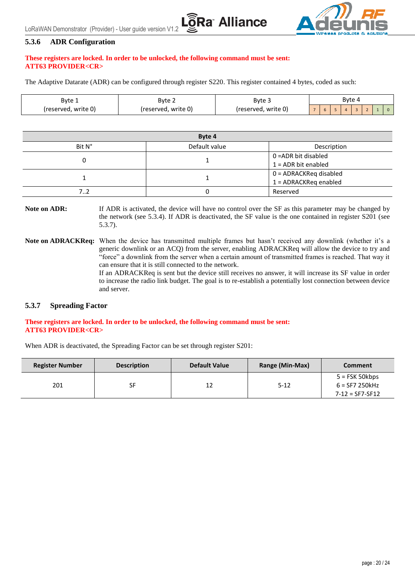

#### <span id="page-19-0"></span>**5.3.6 ADR Configuration**

#### **These registers are locked. In order to be unlocked, the following command must be sent: ATT63 PROVIDER<CR>**

The Adaptive Datarate (ADR) can be configured through register S220. This register contained 4 bytes, coded as such:

| Byte 1              | Byte 2              | Byte 4<br>Byte 3    |  |  |  |                |  |  |  |
|---------------------|---------------------|---------------------|--|--|--|----------------|--|--|--|
| (reserved, write 0) | (reserved, write 0) | (reserved, write 0) |  |  |  | $\overline{a}$ |  |  |  |

**Ra** Alliance

| Byte 4 |                         |                       |  |
|--------|-------------------------|-----------------------|--|
| Bit N° | Default value           | Description           |  |
|        |                         | 0 = ADR bit disabled  |  |
|        |                         | $1 =$ ADR bit enabled |  |
|        | 0 = ADRACKReq disabled  |                       |  |
|        | $1 =$ ADRACKReg enabled |                       |  |
| 72     |                         | Reserved              |  |

**Note on ADR:** If ADR is activated, the device will have no control over the SF as this parameter may be changed by the network (see [5.3.4\)](#page-17-0). If ADR is deactivated, the SF value is the one contained in register S201 (see [5.3.7\)](#page-19-1).

**Note on ADRACKReq:** When the device has transmitted multiple frames but hasn't received any downlink (whether it's a generic downlink or an ACQ) from the server, enabling ADRACKReq will allow the device to try and "force" a downlink from the server when a certain amount of transmitted frames is reached. That way it can ensure that it is still connected to the network.

> If an ADRACKReq is sent but the device still receives no answer, it will increase its SF value in order to increase the radio link budget. The goal is to re-establish a potentially lost connection between device and server.

#### <span id="page-19-1"></span>**5.3.7 Spreading Factor**

#### **These registers are locked. In order to be unlocked, the following command must be sent: ATT63 PROVIDER<CR>**

When ADR is deactivated, the Spreading Factor can be set through register S201:

| <b>Register Number</b> | <b>Description</b> | <b>Default Value</b> | Range (Min-Max) | <b>Comment</b>        |
|------------------------|--------------------|----------------------|-----------------|-----------------------|
|                        |                    |                      |                 | $5 = FSK 50kbps$      |
| 201                    | SF                 | 12                   | $5 - 12$        | $6 =$ SF7 250 $k$ Hz  |
|                        |                    |                      |                 | $7 - 12 = SF7 - SF12$ |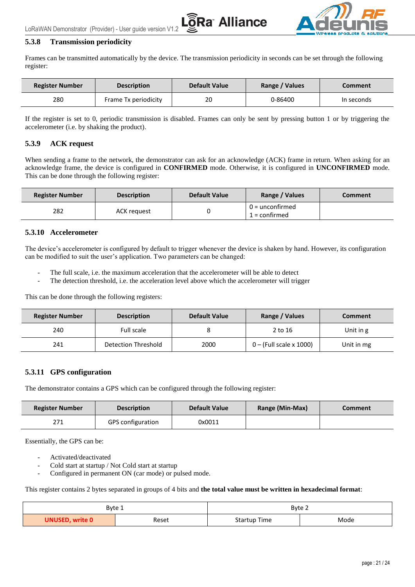



#### <span id="page-20-0"></span>**5.3.8 Transmission periodicity**

Frames can be transmitted automatically by the device. The transmission periodicity in seconds can be set through the following register:

| <b>Register Number</b> | <b>Description</b>   | <b>Default Value</b> | Range / Values | <b>Comment</b> |
|------------------------|----------------------|----------------------|----------------|----------------|
| 280                    | Frame Tx periodicity | 20                   | 0-86400        | In seconds     |

If the register is set to 0, periodic transmission is disabled. Frames can only be sent by pressing button 1 or by triggering the accelerometer (i.e. by shaking the product).

#### <span id="page-20-1"></span>**5.3.9 ACK request**

When sending a frame to the network, the demonstrator can ask for an acknowledge (ACK) frame in return. When asking for an acknowledge frame, the device is configured in **CONFIRMED** mode. Otherwise, it is configured in **UNCONFIRMED** mode. This can be done through the following register:

| <b>Register Number</b> | <b>Description</b> | <b>Default Value</b> | Range / Values                       | Comment |
|------------------------|--------------------|----------------------|--------------------------------------|---------|
| 282                    | <b>ACK request</b> |                      | $0 =$ unconfirmed<br>$1 =$ confirmed |         |

#### <span id="page-20-2"></span>**5.3.10 Accelerometer**

The device's accelerometer is configured by default to trigger whenever the device is shaken by hand. However, its configuration can be modified to suit the user's application. Two parameters can be changed:

- The full scale, i.e. the maximum acceleration that the accelerometer will be able to detect
- The detection threshold, i.e. the acceleration level above which the accelerometer will trigger

This can be done through the following registers:

| <b>Register Number</b> | <b>Description</b>  | <b>Default Value</b> | Range / Values          | <b>Comment</b> |
|------------------------|---------------------|----------------------|-------------------------|----------------|
| 240                    | Full scale          |                      | 2 to 16                 | Unit in g      |
| 241                    | Detection Threshold | 2000                 | 0 – (Full scale x 1000) | Unit in mg     |

#### <span id="page-20-3"></span>**5.3.11 GPS configuration**

The demonstrator contains a GPS which can be configured through the following register:

| <b>Register Number</b> | <b>Description</b>       | <b>Default Value</b> | Range (Min-Max) | Comment |
|------------------------|--------------------------|----------------------|-----------------|---------|
| 271                    | <b>GPS</b> configuration | 0x0011               |                 |         |

Essentially, the GPS can be:

- Activated/deactivated
- Cold start at startup / Not Cold start at startup
- Configured in permanent ON (car mode) or pulsed mode.

This register contains 2 bytes separated in groups of 4 bits and **the total value must be written in hexadecimal format**:

| Byte 1                 |       | Byte 2              |      |  |
|------------------------|-------|---------------------|------|--|
| <b>UNUSED, write 0</b> | Reset | <b>Startup Time</b> | Mode |  |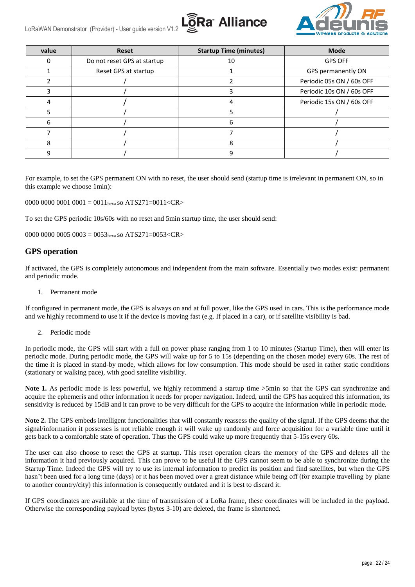



| value | <b>Reset</b>                | <b>Startup Time (minutes)</b> | <b>Mode</b>               |
|-------|-----------------------------|-------------------------------|---------------------------|
| 0     | Do not reset GPS at startup | 10                            | <b>GPS OFF</b>            |
|       | Reset GPS at startup        |                               | GPS permanently ON        |
|       |                             |                               | Periodic 05s ON / 60s OFF |
|       |                             |                               | Periodic 10s ON / 60s OFF |
|       |                             |                               | Periodic 15s ON / 60s OFF |
|       |                             |                               |                           |
| ь     |                             |                               |                           |
|       |                             |                               |                           |
|       |                             |                               |                           |
|       |                             |                               |                           |

For example, to set the GPS permanent ON with no reset, the user should send (startup time is irrelevant in permanent ON, so in this example we choose 1min):

0000 0000 0001 0001 = 0011<sub>hexa</sub> so ATS271=0011<CR>

To set the GPS periodic 10s/60s with no reset and 5min startup time, the user should send:

0000 0000 0005 0003 =  $0.053_{\text{hexa}}$  so ATS271=0053<CR>

#### **GPS operation**

If activated, the GPS is completely autonomous and independent from the main software. Essentially two modes exist: permanent and periodic mode.

1. Permanent mode

If configured in permanent mode, the GPS is always on and at full power, like the GPS used in cars. This is the performance mode and we highly recommend to use it if the device is moving fast (e.g. If placed in a car), or if satellite visibility is bad.

2. Periodic mode

In periodic mode, the GPS will start with a full on power phase ranging from 1 to 10 minutes (Startup Time), then will enter its periodic mode. During periodic mode, the GPS will wake up for 5 to 15s (depending on the chosen mode) every 60s. The rest of the time it is placed in stand-by mode, which allows for low consumption. This mode should be used in rather static conditions (stationary or walking pace), with good satellite visibility.

Note 1. As periodic mode is less powerful, we highly recommend a startup time  $>5$ min so that the GPS can synchronize and acquire the ephemeris and other information it needs for proper navigation. Indeed, until the GPS has acquired this information, its sensitivity is reduced by 15dB and it can prove to be very difficult for the GPS to acquire the information while in periodic mode.

**Note 2.** The GPS embeds intelligent functionalities that will constantly reassess the quality of the signal. If the GPS deems that the signal/information it possesses is not reliable enough it will wake up randomly and force acquisition for a variable time until it gets back to a comfortable state of operation. Thus the GPS could wake up more frequently that 5-15s every 60s.

The user can also choose to reset the GPS at startup. This reset operation clears the memory of the GPS and deletes all the information it had previously acquired. This can prove to be useful if the GPS cannot seem to be able to synchronize during the Startup Time. Indeed the GPS will try to use its internal information to predict its position and find satellites, but when the GPS hasn't been used for a long time (days) or it has been moved over a great distance while being off (for example travelling by plane to another country/city) this information is consequently outdated and it is best to discard it.

If GPS coordinates are available at the time of transmission of a LoRa frame, these coordinates will be included in the payload. Otherwise the corresponding payload bytes (bytes 3-10) are deleted, the frame is shortened.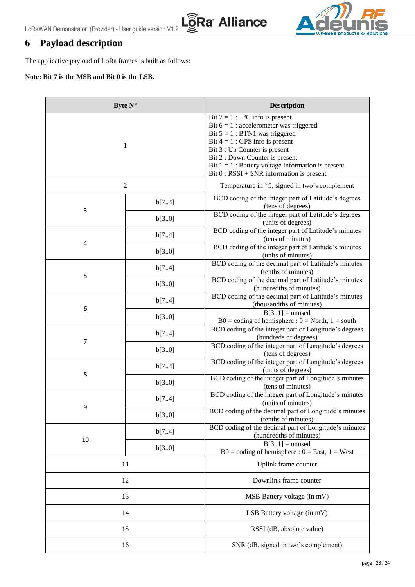L@<br>Ra Alliance



# <span id="page-22-0"></span>**6 Payload description**

The applicative payload of LoRa frames is built as follows:

#### **Note: Bit 7 is the MSB and Bit 0 is the LSB.**

| Byte $N^{\circ}$ |                | <b>Description</b>                                                                                                                                                                                                                                                                                                                              |
|------------------|----------------|-------------------------------------------------------------------------------------------------------------------------------------------------------------------------------------------------------------------------------------------------------------------------------------------------------------------------------------------------|
| 1                |                | Bit $7 = 1$ : T <sup>o</sup> C info is present<br>Bit $6 = 1$ : accelerometer was triggered<br>Bit $5 = 1$ : BTN1 was triggered<br>Bit $4 = 1$ : GPS info is present<br>Bit 3 : Up Counter is present<br>Bit 2 : Down Counter is present<br>Bit $1 = 1$ : Battery voltage information is present<br>$Bit 0 : RSSI + SNR information is present$ |
|                  | $\overline{c}$ | Temperature in $\mathrm{C}$ , signed in two's complement                                                                                                                                                                                                                                                                                        |
|                  | b[74]          | BCD coding of the integer part of Latitude's degrees<br>(tens of degrees)                                                                                                                                                                                                                                                                       |
| 3                | b[3.0]         | BCD coding of the integer part of Latitude's degrees<br>(units of degrees)                                                                                                                                                                                                                                                                      |
|                  | b[74]          | BCD coding of the integer part of Latitude's minutes<br>(tens of minutes)                                                                                                                                                                                                                                                                       |
| 4                | b[3.0]         | BCD coding of the integer part of Latitude's minutes<br>(units of minutes)                                                                                                                                                                                                                                                                      |
|                  | b[74]          | BCD coding of the decimal part of Latitude's minutes<br>(tenths of minutes)                                                                                                                                                                                                                                                                     |
| 5                | b[3.0]         | BCD coding of the decimal part of Latitude's minutes<br>(hundredths of minutes)                                                                                                                                                                                                                                                                 |
|                  | b[74]          | BCD coding of the decimal part of Latitude's minutes<br>(thousandths of minutes)                                                                                                                                                                                                                                                                |
| 6                | b[3.0]         | $B[31]$ = unused<br>$B0 =$ coding of hemisphere : $0 =$ North, $1 =$ south                                                                                                                                                                                                                                                                      |
| 7                | b[74]          | BCD coding of the integer part of Longitude's degrees<br>(hundreds of degrees)                                                                                                                                                                                                                                                                  |
|                  | b[3.0]         | BCD coding of the integer part of Longitude's degrees<br>(tens of degrees)                                                                                                                                                                                                                                                                      |
|                  | b[74]          | BCD coding of the integer part of Longitude's degrees<br>(units of degrees)                                                                                                                                                                                                                                                                     |
| 8<br>b[3.0]      |                | BCD coding of the integer part of Longitude's minutes<br>(tens of minutes)                                                                                                                                                                                                                                                                      |
|                  | b[74]          | BCD coding of the integer part of Longitude's minutes<br>(units of minutes)                                                                                                                                                                                                                                                                     |
| 9                | b[30]          | BCD coding of the decimal part of Longitude's minutes<br>(tenths of minutes)                                                                                                                                                                                                                                                                    |
|                  | b[74]          | BCD coding of the decimal part of Longitude's minutes<br>(hundredths of minutes)                                                                                                                                                                                                                                                                |
| 10<br>b[3.0]     |                | $B[31] =$ unused<br>$B0 = coding of hemisphere : 0 = East, 1 = West$                                                                                                                                                                                                                                                                            |
| 11               |                | Uplink frame counter                                                                                                                                                                                                                                                                                                                            |
| 12               |                | Downlink frame counter                                                                                                                                                                                                                                                                                                                          |
| 13               |                | MSB Battery voltage (in mV)                                                                                                                                                                                                                                                                                                                     |
| 14               |                | LSB Battery voltage (in mV)                                                                                                                                                                                                                                                                                                                     |
| 15               |                | RSSI (dB, absolute value)                                                                                                                                                                                                                                                                                                                       |
| 16               |                | SNR (dB, signed in two's complement)                                                                                                                                                                                                                                                                                                            |